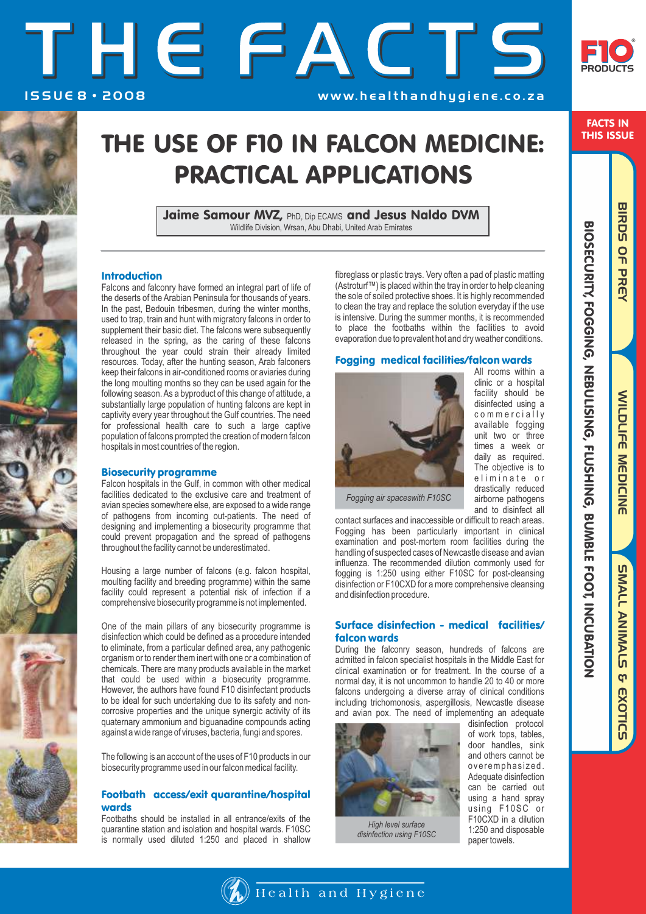# THEFACTS ISSUE 8 · 2008 WWW.healthandhygiene.co.za



## THE USE OF F10 IN FALCON MEDICINE: PRACTICAL APPLICATIONS

Jaime Samour MVZ, PhD, Dip ECAMS and Jesus Naldo DVM Wildlife Division, Wrsan, Abu Dhabi, United Arab Emirates

### Introduction

Falcons and falconry have formed an integral part of life of the deserts of the Arabian Peninsula for thousands of years. In the past, Bedouin tribesmen, during the winter months, used to trap, train and hunt with migratory falcons in order to supplement their basic diet. The falcons were subsequently released in the spring, as the caring of these falcons throughout the year could strain their already limited resources. Today, after the hunting season, Arab falconers keep their falcons in air-conditioned rooms or aviaries during the long moulting months so they can be used again for the following season. As a byproduct of this change of attitude, a substantially large population of hunting falcons are kept in captivity every year throughout the Gulf countries. The need for professional health care to such a large captive population of falcons prompted the creation of modern falcon hospitals in most countries of the region.

### Biosecurity programme

Falcon hospitals in the Gulf, in common with other medical facilities dedicated to the exclusive care and treatment of avian species somewhere else, are exposed to a wide range of pathogens from incoming out-patients. The need of designing and implementing a biosecurity programme that could prevent propagation and the spread of pathogens throughout the facility cannot be underestimated.

Housing a large number of falcons (e.g. falcon hospital, moulting facility and breeding programme) within the same facility could represent a potential risk of infection if a comprehensive biosecurity programme is not implemented.

One of the main pillars of any biosecurity programme is disinfection which could be defined as a procedure intended to eliminate, from a particular defined area, any pathogenic organism or to render them inert with one or a combination of chemicals. There are many products available in the market that could be used within a biosecurity programme. However, the authors have found F10 disinfectant products to be ideal for such undertaking due to its safety and noncorrosive properties and the unique synergic activity of its quaternary ammonium and biguanadine compounds acting against a wide range of viruses, bacteria, fungi and spores.

The following is an account of the uses of F10 products in our biosecurity programme used in our falcon medical facility.

### Footbath access/exit quarantine/hospital wards

Footbaths should be installed in all entrance/exits of the quarantine station and isolation and hospital wards. F10SC is normally used diluted 1:250 and placed in shallow fibreglass or plastic trays. Very often a pad of plastic matting (Astroturf™) is placed within the tray in order to help cleaning the sole of soiled protective shoes. It is highly recommended to clean the tray and replace the solution everyday if the use is intensive. During the summer months, it is recommended to place the footbaths within the facilities to avoid evaporation due to prevalent hot and dry weather conditions.

### Fogging medical facilities/falcon wards



All rooms within a clinic or a hospital facility should be disinfected using a c o m m e r c i a I l y available fogging unit two or three times a week or daily as required. The objective is to eliminate or drastically reduced airborne pathogens and to disinfect all

*Fogging air spaceswith F10SC*

contact surfaces and inaccessible or difficult to reach areas. Fogging has been particularly important in clinical examination and post-mortem room facilities during the handling of suspected cases of Newcastle disease and avian influenza. The recommended dilution commonly used for fogging is 1:250 using either F10SC for post-cleansing disinfection or F10CXD for a more comprehensive cleansing and disinfection procedure.

### Surface disinfection - medical facilities/ falcon wards

During the falconry season, hundreds of falcons are admitted in falcon specialist hospitals in the Middle East for clinical examination or for treatment. In the course of a normal day, it is not uncommon to handle 20 to 40 or more falcons undergoing a diverse array of clinical conditions including trichomonosis, aspergillosis, Newcastle disease and avian pox. The need of implementing an adequate



*High level surface disinfection using F10SC*

disinfection protocol of work tops, tables, door handles, sink and others cannot be overemphasized. Adequate disinfection can be carried out using a hand spray us ing F10SC or F10CXD in a dilution 1:250 and disposable paper towels.

**BIRDS** 

**SOF PREY** 

BIRDS OF PREY WILDLIFE MEDICINE BIRDS OF PREY PIRDS OF PREY

WILDLIFE MEDICINE

SMALL ANIMALS & EXOTIC

SUALL ANIMALS & EXOTICS